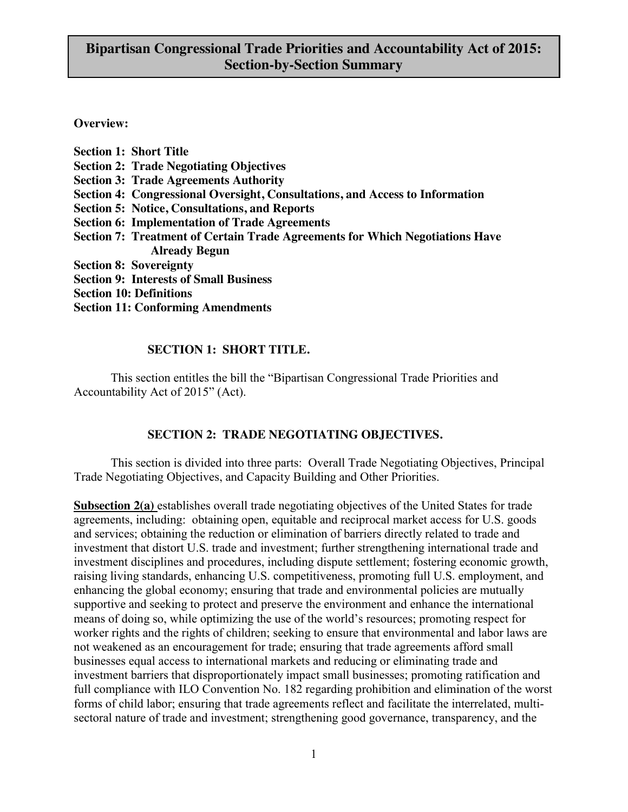**Overview:**

**Section 1: Short Title Section 2: Trade Negotiating Objectives Section 3: Trade Agreements Authority Section 4: Congressional Oversight, Consultations, and Access to Information Section 5: Notice, Consultations, and Reports Section 6: Implementation of Trade Agreements Section 7: Treatment of Certain Trade Agreements for Which Negotiations Have Already Begun Section 8: Sovereignty Section 9: Interests of Small Business Section 10: Definitions** 

**Section 11: Conforming Amendments**

## **SECTION 1: SHORT TITLE.**

This section entitles the bill the "Bipartisan Congressional Trade Priorities and Accountability Act of 2015" (Act).

# **SECTION 2: TRADE NEGOTIATING OBJECTIVES.**

This section is divided into three parts: Overall Trade Negotiating Objectives, Principal Trade Negotiating Objectives, and Capacity Building and Other Priorities.

**Subsection 2(a)** establishes overall trade negotiating objectives of the United States for trade agreements, including: obtaining open, equitable and reciprocal market access for U.S. goods and services; obtaining the reduction or elimination of barriers directly related to trade and investment that distort U.S. trade and investment; further strengthening international trade and investment disciplines and procedures, including dispute settlement; fostering economic growth, raising living standards, enhancing U.S. competitiveness, promoting full U.S. employment, and enhancing the global economy; ensuring that trade and environmental policies are mutually supportive and seeking to protect and preserve the environment and enhance the international means of doing so, while optimizing the use of the world's resources; promoting respect for worker rights and the rights of children; seeking to ensure that environmental and labor laws are not weakened as an encouragement for trade; ensuring that trade agreements afford small businesses equal access to international markets and reducing or eliminating trade and investment barriers that disproportionately impact small businesses; promoting ratification and full compliance with ILO Convention No. 182 regarding prohibition and elimination of the worst forms of child labor; ensuring that trade agreements reflect and facilitate the interrelated, multisectoral nature of trade and investment; strengthening good governance, transparency, and the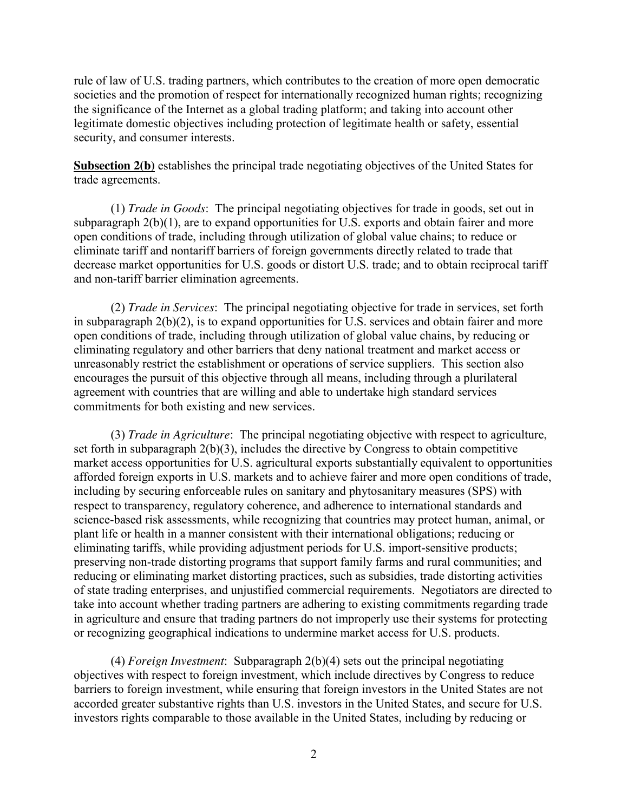rule of law of U.S. trading partners, which contributes to the creation of more open democratic societies and the promotion of respect for internationally recognized human rights; recognizing the significance of the Internet as a global trading platform; and taking into account other legitimate domestic objectives including protection of legitimate health or safety, essential security, and consumer interests.

**Subsection 2(b)** establishes the principal trade negotiating objectives of the United States for trade agreements.

(1) *Trade in Goods*: The principal negotiating objectives for trade in goods, set out in subparagraph  $2(b)(1)$ , are to expand opportunities for U.S. exports and obtain fairer and more open conditions of trade, including through utilization of global value chains; to reduce or eliminate tariff and nontariff barriers of foreign governments directly related to trade that decrease market opportunities for U.S. goods or distort U.S. trade; and to obtain reciprocal tariff and non-tariff barrier elimination agreements.

(2) *Trade in Services*: The principal negotiating objective for trade in services, set forth in subparagraph 2(b)(2), is to expand opportunities for U.S. services and obtain fairer and more open conditions of trade, including through utilization of global value chains, by reducing or eliminating regulatory and other barriers that deny national treatment and market access or unreasonably restrict the establishment or operations of service suppliers. This section also encourages the pursuit of this objective through all means, including through a plurilateral agreement with countries that are willing and able to undertake high standard services commitments for both existing and new services.

(3) *Trade in Agriculture*: The principal negotiating objective with respect to agriculture, set forth in subparagraph 2(b)(3), includes the directive by Congress to obtain competitive market access opportunities for U.S. agricultural exports substantially equivalent to opportunities afforded foreign exports in U.S. markets and to achieve fairer and more open conditions of trade, including by securing enforceable rules on sanitary and phytosanitary measures (SPS) with respect to transparency, regulatory coherence, and adherence to international standards and science-based risk assessments, while recognizing that countries may protect human, animal, or plant life or health in a manner consistent with their international obligations; reducing or eliminating tariffs, while providing adjustment periods for U.S. import-sensitive products; preserving non-trade distorting programs that support family farms and rural communities; and reducing or eliminating market distorting practices, such as subsidies, trade distorting activities of state trading enterprises, and unjustified commercial requirements. Negotiators are directed to take into account whether trading partners are adhering to existing commitments regarding trade in agriculture and ensure that trading partners do not improperly use their systems for protecting or recognizing geographical indications to undermine market access for U.S. products.

(4) *Foreign Investment*: Subparagraph 2(b)(4) sets out the principal negotiating objectives with respect to foreign investment, which include directives by Congress to reduce barriers to foreign investment, while ensuring that foreign investors in the United States are not accorded greater substantive rights than U.S. investors in the United States, and secure for U.S. investors rights comparable to those available in the United States, including by reducing or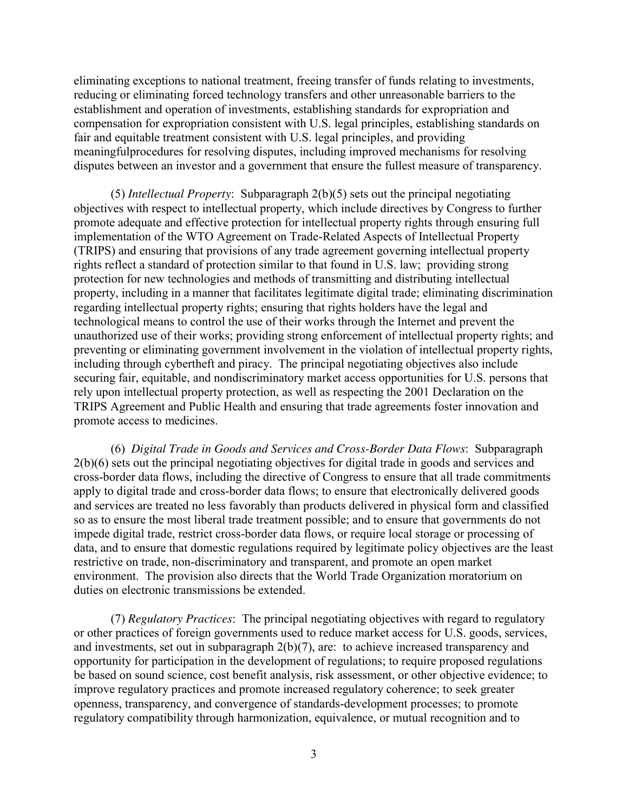eliminating exceptions to national treatment, freeing transfer of funds relating to investments, reducing or eliminating forced technology transfers and other unreasonable barriers to the establishment and operation of investments, establishing standards for expropriation and compensation for expropriation consistent with U.S. legal principles, establishing standards on fair and equitable treatment consistent with U.S. legal principles, and providing meaningfulprocedures for resolving disputes, including improved mechanisms for resolving disputes between an investor and a government that ensure the fullest measure of transparency.

(5) *Intellectual Property*: Subparagraph 2(b)(5) sets out the principal negotiating objectives with respect to intellectual property, which include directives by Congress to further promote adequate and effective protection for intellectual property rights through ensuring full implementation of the WTO Agreement on Trade-Related Aspects of Intellectual Property (TRIPS) and ensuring that provisions of any trade agreement governing intellectual property rights reflect a standard of protection similar to that found in U.S. law; providing strong protection for new technologies and methods of transmitting and distributing intellectual property, including in a manner that facilitates legitimate digital trade; eliminating discrimination regarding intellectual property rights; ensuring that rights holders have the legal and technological means to control the use of their works through the Internet and prevent the unauthorized use of their works; providing strong enforcement of intellectual property rights; and preventing or eliminating government involvement in the violation of intellectual property rights, including through cybertheft and piracy. The principal negotiating objectives also include securing fair, equitable, and nondiscriminatory market access opportunities for U.S. persons that rely upon intellectual property protection, as well as respecting the 2001 Declaration on the TRIPS Agreement and Public Health and ensuring that trade agreements foster innovation and promote access to medicines.

(6) *Digital Trade in Goods and Services and Cross-Border Data Flows*: Subparagraph 2(b)(6) sets out the principal negotiating objectives for digital trade in goods and services and cross-border data flows, including the directive of Congress to ensure that all trade commitments apply to digital trade and cross-border data flows; to ensure that electronically delivered goods and services are treated no less favorably than products delivered in physical form and classified so as to ensure the most liberal trade treatment possible; and to ensure that governments do not impede digital trade, restrict cross-border data flows, or require local storage or processing of data, and to ensure that domestic regulations required by legitimate policy objectives are the least restrictive on trade, non-discriminatory and transparent, and promote an open market environment. The provision also directs that the World Trade Organization moratorium on duties on electronic transmissions be extended.

(7) *Regulatory Practices*: The principal negotiating objectives with regard to regulatory or other practices of foreign governments used to reduce market access for U.S. goods, services, and investments, set out in subparagraph 2(b)(7), are: to achieve increased transparency and opportunity for participation in the development of regulations; to require proposed regulations be based on sound science, cost benefit analysis, risk assessment, or other objective evidence; to improve regulatory practices and promote increased regulatory coherence; to seek greater openness, transparency, and convergence of standards-development processes; to promote regulatory compatibility through harmonization, equivalence, or mutual recognition and to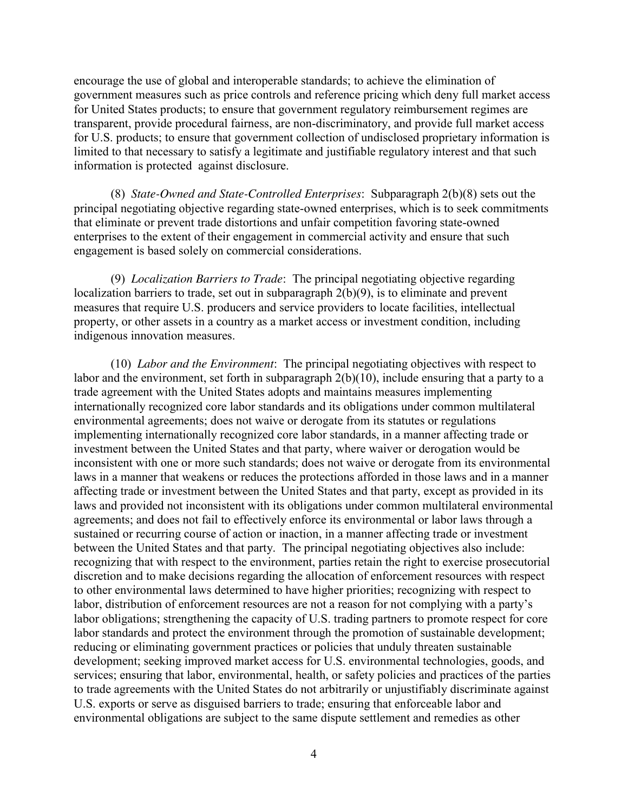encourage the use of global and interoperable standards; to achieve the elimination of government measures such as price controls and reference pricing which deny full market access for United States products; to ensure that government regulatory reimbursement regimes are transparent, provide procedural fairness, are non-discriminatory, and provide full market access for U.S. products; to ensure that government collection of undisclosed proprietary information is limited to that necessary to satisfy a legitimate and justifiable regulatory interest and that such information is protected against disclosure.

(8) *State-Owned and State-Controlled Enterprises*: Subparagraph 2(b)(8) sets out the principal negotiating objective regarding state-owned enterprises, which is to seek commitments that eliminate or prevent trade distortions and unfair competition favoring state-owned enterprises to the extent of their engagement in commercial activity and ensure that such engagement is based solely on commercial considerations.

(9) *Localization Barriers to Trade*: The principal negotiating objective regarding localization barriers to trade, set out in subparagraph  $2(b)(9)$ , is to eliminate and prevent measures that require U.S. producers and service providers to locate facilities, intellectual property, or other assets in a country as a market access or investment condition, including indigenous innovation measures.

(10) *Labor and the Environment*: The principal negotiating objectives with respect to labor and the environment, set forth in subparagraph 2(b)(10), include ensuring that a party to a trade agreement with the United States adopts and maintains measures implementing internationally recognized core labor standards and its obligations under common multilateral environmental agreements; does not waive or derogate from its statutes or regulations implementing internationally recognized core labor standards, in a manner affecting trade or investment between the United States and that party, where waiver or derogation would be inconsistent with one or more such standards; does not waive or derogate from its environmental laws in a manner that weakens or reduces the protections afforded in those laws and in a manner affecting trade or investment between the United States and that party, except as provided in its laws and provided not inconsistent with its obligations under common multilateral environmental agreements; and does not fail to effectively enforce its environmental or labor laws through a sustained or recurring course of action or inaction, in a manner affecting trade or investment between the United States and that party. The principal negotiating objectives also include: recognizing that with respect to the environment, parties retain the right to exercise prosecutorial discretion and to make decisions regarding the allocation of enforcement resources with respect to other environmental laws determined to have higher priorities; recognizing with respect to labor, distribution of enforcement resources are not a reason for not complying with a party's labor obligations; strengthening the capacity of U.S. trading partners to promote respect for core labor standards and protect the environment through the promotion of sustainable development; reducing or eliminating government practices or policies that unduly threaten sustainable development; seeking improved market access for U.S. environmental technologies, goods, and services; ensuring that labor, environmental, health, or safety policies and practices of the parties to trade agreements with the United States do not arbitrarily or unjustifiably discriminate against U.S. exports or serve as disguised barriers to trade; ensuring that enforceable labor and environmental obligations are subject to the same dispute settlement and remedies as other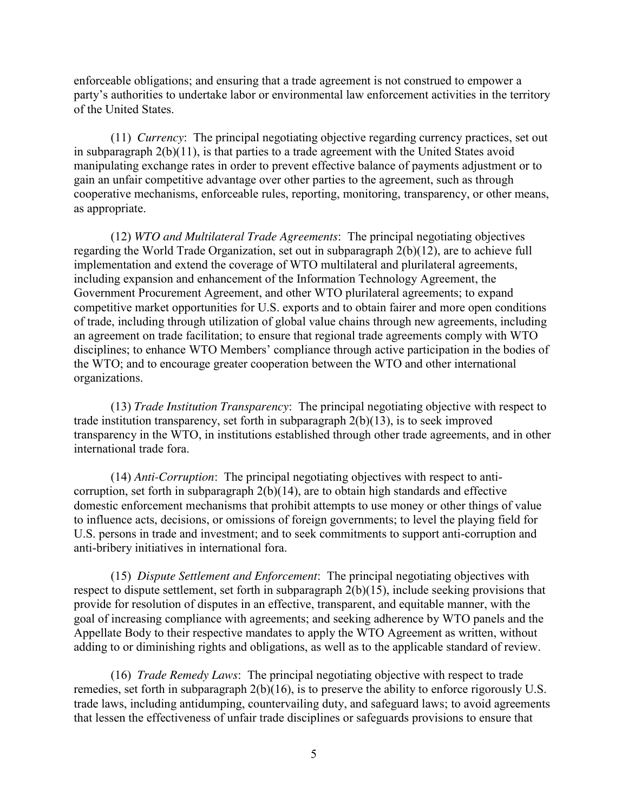enforceable obligations; and ensuring that a trade agreement is not construed to empower a party's authorities to undertake labor or environmental law enforcement activities in the territory of the United States.

(11) *Currency*: The principal negotiating objective regarding currency practices, set out in subparagraph 2(b)(11), is that parties to a trade agreement with the United States avoid manipulating exchange rates in order to prevent effective balance of payments adjustment or to gain an unfair competitive advantage over other parties to the agreement, such as through cooperative mechanisms, enforceable rules, reporting, monitoring, transparency, or other means, as appropriate.

(12) *WTO and Multilateral Trade Agreements*: The principal negotiating objectives regarding the World Trade Organization, set out in subparagraph 2(b)(12), are to achieve full implementation and extend the coverage of WTO multilateral and plurilateral agreements, including expansion and enhancement of the Information Technology Agreement, the Government Procurement Agreement, and other WTO plurilateral agreements; to expand competitive market opportunities for U.S. exports and to obtain fairer and more open conditions of trade, including through utilization of global value chains through new agreements, including an agreement on trade facilitation; to ensure that regional trade agreements comply with WTO disciplines; to enhance WTO Members' compliance through active participation in the bodies of the WTO; and to encourage greater cooperation between the WTO and other international organizations.

(13) *Trade Institution Transparency*: The principal negotiating objective with respect to trade institution transparency, set forth in subparagraph 2(b)(13), is to seek improved transparency in the WTO, in institutions established through other trade agreements, and in other international trade fora.

(14) *Anti-Corruption*: The principal negotiating objectives with respect to anticorruption, set forth in subparagraph 2(b)(14), are to obtain high standards and effective domestic enforcement mechanisms that prohibit attempts to use money or other things of value to influence acts, decisions, or omissions of foreign governments; to level the playing field for U.S. persons in trade and investment; and to seek commitments to support anti-corruption and anti-bribery initiatives in international fora.

(15) *Dispute Settlement and Enforcement*: The principal negotiating objectives with respect to dispute settlement, set forth in subparagraph 2(b)(15), include seeking provisions that provide for resolution of disputes in an effective, transparent, and equitable manner, with the goal of increasing compliance with agreements; and seeking adherence by WTO panels and the Appellate Body to their respective mandates to apply the WTO Agreement as written, without adding to or diminishing rights and obligations, as well as to the applicable standard of review.

(16) *Trade Remedy Laws*: The principal negotiating objective with respect to trade remedies, set forth in subparagraph 2(b)(16), is to preserve the ability to enforce rigorously U.S. trade laws, including antidumping, countervailing duty, and safeguard laws; to avoid agreements that lessen the effectiveness of unfair trade disciplines or safeguards provisions to ensure that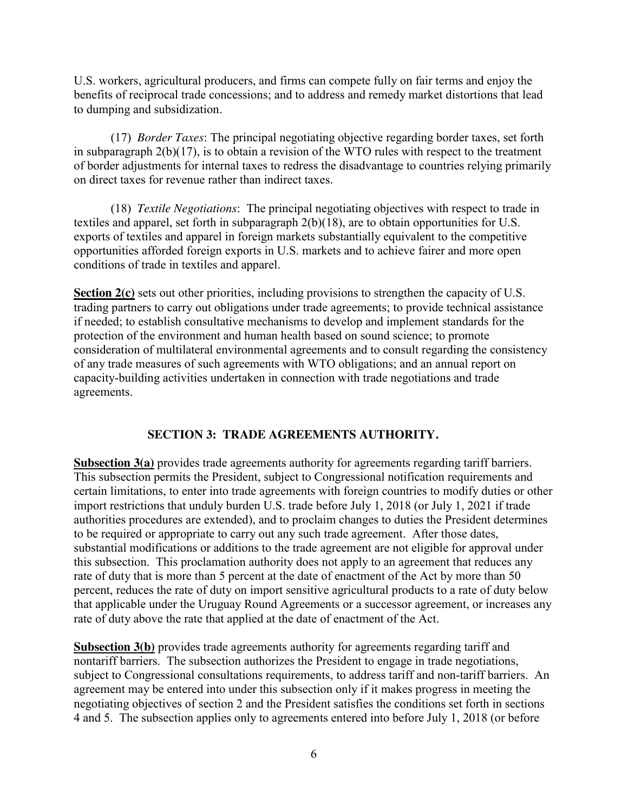U.S. workers, agricultural producers, and firms can compete fully on fair terms and enjoy the benefits of reciprocal trade concessions; and to address and remedy market distortions that lead to dumping and subsidization.

(17) *Border Taxes*: The principal negotiating objective regarding border taxes, set forth in subparagraph 2(b)(17), is to obtain a revision of the WTO rules with respect to the treatment of border adjustments for internal taxes to redress the disadvantage to countries relying primarily on direct taxes for revenue rather than indirect taxes.

(18) *Textile Negotiations*: The principal negotiating objectives with respect to trade in textiles and apparel, set forth in subparagraph 2(b)(18), are to obtain opportunities for U.S. exports of textiles and apparel in foreign markets substantially equivalent to the competitive opportunities afforded foreign exports in U.S. markets and to achieve fairer and more open conditions of trade in textiles and apparel.

**Section 2(c)** sets out other priorities, including provisions to strengthen the capacity of U.S. trading partners to carry out obligations under trade agreements; to provide technical assistance if needed; to establish consultative mechanisms to develop and implement standards for the protection of the environment and human health based on sound science; to promote consideration of multilateral environmental agreements and to consult regarding the consistency of any trade measures of such agreements with WTO obligations; and an annual report on capacity-building activities undertaken in connection with trade negotiations and trade agreements.

## **SECTION 3: TRADE AGREEMENTS AUTHORITY.**

**Subsection 3(a)** provides trade agreements authority for agreements regarding tariff barriers. This subsection permits the President, subject to Congressional notification requirements and certain limitations, to enter into trade agreements with foreign countries to modify duties or other import restrictions that unduly burden U.S. trade before July 1, 2018 (or July 1, 2021 if trade authorities procedures are extended), and to proclaim changes to duties the President determines to be required or appropriate to carry out any such trade agreement. After those dates, substantial modifications or additions to the trade agreement are not eligible for approval under this subsection. This proclamation authority does not apply to an agreement that reduces any rate of duty that is more than 5 percent at the date of enactment of the Act by more than 50 percent, reduces the rate of duty on import sensitive agricultural products to a rate of duty below that applicable under the Uruguay Round Agreements or a successor agreement, or increases any rate of duty above the rate that applied at the date of enactment of the Act.

**Subsection 3(b)** provides trade agreements authority for agreements regarding tariff and nontariff barriers. The subsection authorizes the President to engage in trade negotiations, subject to Congressional consultations requirements, to address tariff and non-tariff barriers. An agreement may be entered into under this subsection only if it makes progress in meeting the negotiating objectives of section 2 and the President satisfies the conditions set forth in sections 4 and 5. The subsection applies only to agreements entered into before July 1, 2018 (or before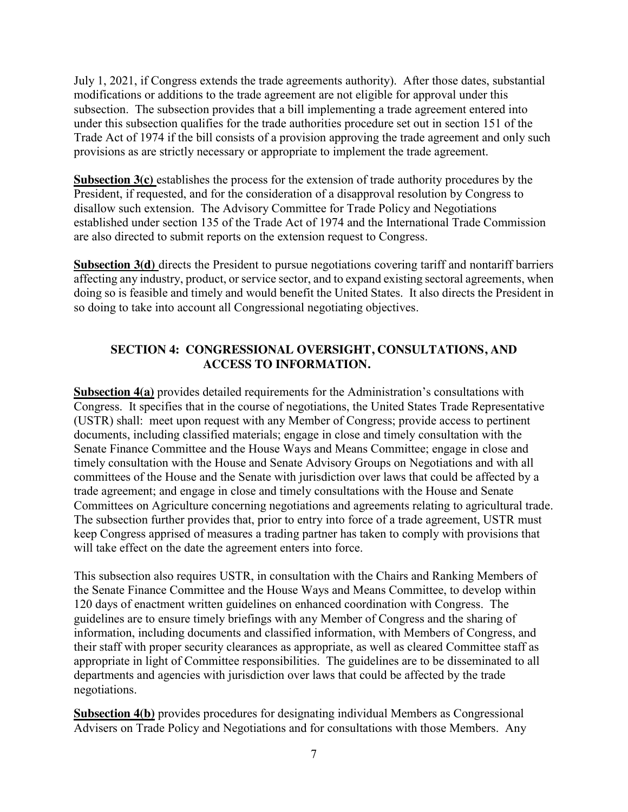July 1, 2021, if Congress extends the trade agreements authority). After those dates, substantial modifications or additions to the trade agreement are not eligible for approval under this subsection. The subsection provides that a bill implementing a trade agreement entered into under this subsection qualifies for the trade authorities procedure set out in section 151 of the Trade Act of 1974 if the bill consists of a provision approving the trade agreement and only such provisions as are strictly necessary or appropriate to implement the trade agreement.

**Subsection 3(c)** establishes the process for the extension of trade authority procedures by the President, if requested, and for the consideration of a disapproval resolution by Congress to disallow such extension. The Advisory Committee for Trade Policy and Negotiations established under section 135 of the Trade Act of 1974 and the International Trade Commission are also directed to submit reports on the extension request to Congress.

**Subsection 3(d)** directs the President to pursue negotiations covering tariff and nontariff barriers affecting any industry, product, or service sector, and to expand existing sectoral agreements, when doing so is feasible and timely and would benefit the United States. It also directs the President in so doing to take into account all Congressional negotiating objectives.

## **SECTION 4: CONGRESSIONAL OVERSIGHT, CONSULTATIONS, AND ACCESS TO INFORMATION.**

**Subsection 4(a)** provides detailed requirements for the Administration's consultations with Congress. It specifies that in the course of negotiations, the United States Trade Representative (USTR) shall: meet upon request with any Member of Congress; provide access to pertinent documents, including classified materials; engage in close and timely consultation with the Senate Finance Committee and the House Ways and Means Committee; engage in close and timely consultation with the House and Senate Advisory Groups on Negotiations and with all committees of the House and the Senate with jurisdiction over laws that could be affected by a trade agreement; and engage in close and timely consultations with the House and Senate Committees on Agriculture concerning negotiations and agreements relating to agricultural trade. The subsection further provides that, prior to entry into force of a trade agreement, USTR must keep Congress apprised of measures a trading partner has taken to comply with provisions that will take effect on the date the agreement enters into force.

This subsection also requires USTR, in consultation with the Chairs and Ranking Members of the Senate Finance Committee and the House Ways and Means Committee, to develop within 120 days of enactment written guidelines on enhanced coordination with Congress. The guidelines are to ensure timely briefings with any Member of Congress and the sharing of information, including documents and classified information, with Members of Congress, and their staff with proper security clearances as appropriate, as well as cleared Committee staff as appropriate in light of Committee responsibilities. The guidelines are to be disseminated to all departments and agencies with jurisdiction over laws that could be affected by the trade negotiations.

**Subsection 4(b)** provides procedures for designating individual Members as Congressional Advisers on Trade Policy and Negotiations and for consultations with those Members. Any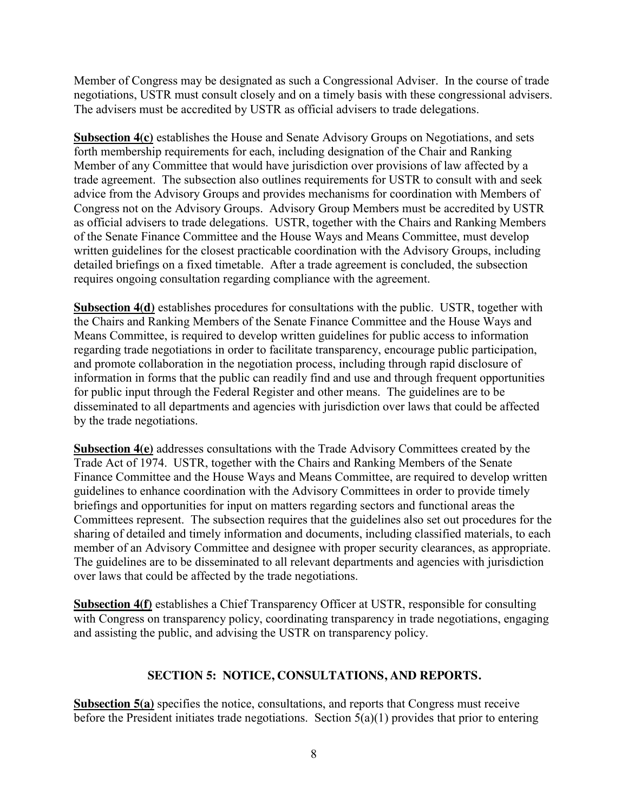Member of Congress may be designated as such a Congressional Adviser. In the course of trade negotiations, USTR must consult closely and on a timely basis with these congressional advisers. The advisers must be accredited by USTR as official advisers to trade delegations.

**Subsection 4(c)** establishes the House and Senate Advisory Groups on Negotiations, and sets forth membership requirements for each, including designation of the Chair and Ranking Member of any Committee that would have jurisdiction over provisions of law affected by a trade agreement. The subsection also outlines requirements for USTR to consult with and seek advice from the Advisory Groups and provides mechanisms for coordination with Members of Congress not on the Advisory Groups. Advisory Group Members must be accredited by USTR as official advisers to trade delegations. USTR, together with the Chairs and Ranking Members of the Senate Finance Committee and the House Ways and Means Committee, must develop written guidelines for the closest practicable coordination with the Advisory Groups, including detailed briefings on a fixed timetable. After a trade agreement is concluded, the subsection requires ongoing consultation regarding compliance with the agreement.

**Subsection 4(d)** establishes procedures for consultations with the public. USTR, together with the Chairs and Ranking Members of the Senate Finance Committee and the House Ways and Means Committee, is required to develop written guidelines for public access to information regarding trade negotiations in order to facilitate transparency, encourage public participation, and promote collaboration in the negotiation process, including through rapid disclosure of information in forms that the public can readily find and use and through frequent opportunities for public input through the Federal Register and other means. The guidelines are to be disseminated to all departments and agencies with jurisdiction over laws that could be affected by the trade negotiations.

**Subsection 4(e)** addresses consultations with the Trade Advisory Committees created by the Trade Act of 1974. USTR, together with the Chairs and Ranking Members of the Senate Finance Committee and the House Ways and Means Committee, are required to develop written guidelines to enhance coordination with the Advisory Committees in order to provide timely briefings and opportunities for input on matters regarding sectors and functional areas the Committees represent. The subsection requires that the guidelines also set out procedures for the sharing of detailed and timely information and documents, including classified materials, to each member of an Advisory Committee and designee with proper security clearances, as appropriate. The guidelines are to be disseminated to all relevant departments and agencies with jurisdiction over laws that could be affected by the trade negotiations.

**Subsection 4(f)** establishes a Chief Transparency Officer at USTR, responsible for consulting with Congress on transparency policy, coordinating transparency in trade negotiations, engaging and assisting the public, and advising the USTR on transparency policy.

## **SECTION 5: NOTICE, CONSULTATIONS, AND REPORTS.**

**Subsection 5(a)** specifies the notice, consultations, and reports that Congress must receive before the President initiates trade negotiations. Section 5(a)(1) provides that prior to entering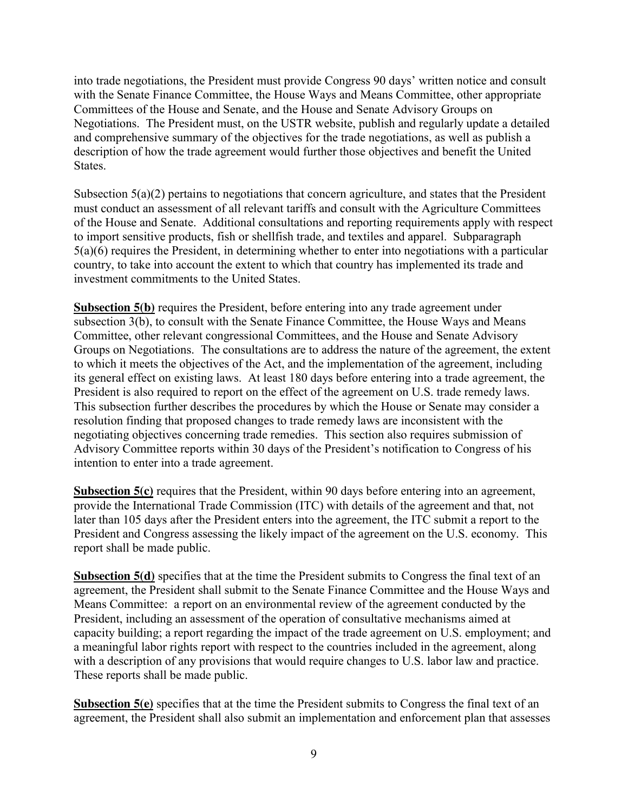into trade negotiations, the President must provide Congress 90 days' written notice and consult with the Senate Finance Committee, the House Ways and Means Committee, other appropriate Committees of the House and Senate, and the House and Senate Advisory Groups on Negotiations. The President must, on the USTR website, publish and regularly update a detailed and comprehensive summary of the objectives for the trade negotiations, as well as publish a description of how the trade agreement would further those objectives and benefit the United **States** 

Subsection 5(a)(2) pertains to negotiations that concern agriculture, and states that the President must conduct an assessment of all relevant tariffs and consult with the Agriculture Committees of the House and Senate. Additional consultations and reporting requirements apply with respect to import sensitive products, fish or shellfish trade, and textiles and apparel. Subparagraph 5(a)(6) requires the President, in determining whether to enter into negotiations with a particular country, to take into account the extent to which that country has implemented its trade and investment commitments to the United States.

**Subsection 5(b)** requires the President, before entering into any trade agreement under subsection 3(b), to consult with the Senate Finance Committee, the House Ways and Means Committee, other relevant congressional Committees, and the House and Senate Advisory Groups on Negotiations. The consultations are to address the nature of the agreement, the extent to which it meets the objectives of the Act, and the implementation of the agreement, including its general effect on existing laws. At least 180 days before entering into a trade agreement, the President is also required to report on the effect of the agreement on U.S. trade remedy laws. This subsection further describes the procedures by which the House or Senate may consider a resolution finding that proposed changes to trade remedy laws are inconsistent with the negotiating objectives concerning trade remedies. This section also requires submission of Advisory Committee reports within 30 days of the President's notification to Congress of his intention to enter into a trade agreement.

**Subsection 5(c)** requires that the President, within 90 days before entering into an agreement, provide the International Trade Commission (ITC) with details of the agreement and that, not later than 105 days after the President enters into the agreement, the ITC submit a report to the President and Congress assessing the likely impact of the agreement on the U.S. economy. This report shall be made public.

**Subsection 5(d)** specifies that at the time the President submits to Congress the final text of an agreement, the President shall submit to the Senate Finance Committee and the House Ways and Means Committee: a report on an environmental review of the agreement conducted by the President, including an assessment of the operation of consultative mechanisms aimed at capacity building; a report regarding the impact of the trade agreement on U.S. employment; and a meaningful labor rights report with respect to the countries included in the agreement, along with a description of any provisions that would require changes to U.S. labor law and practice. These reports shall be made public.

**Subsection 5(e)** specifies that at the time the President submits to Congress the final text of an agreement, the President shall also submit an implementation and enforcement plan that assesses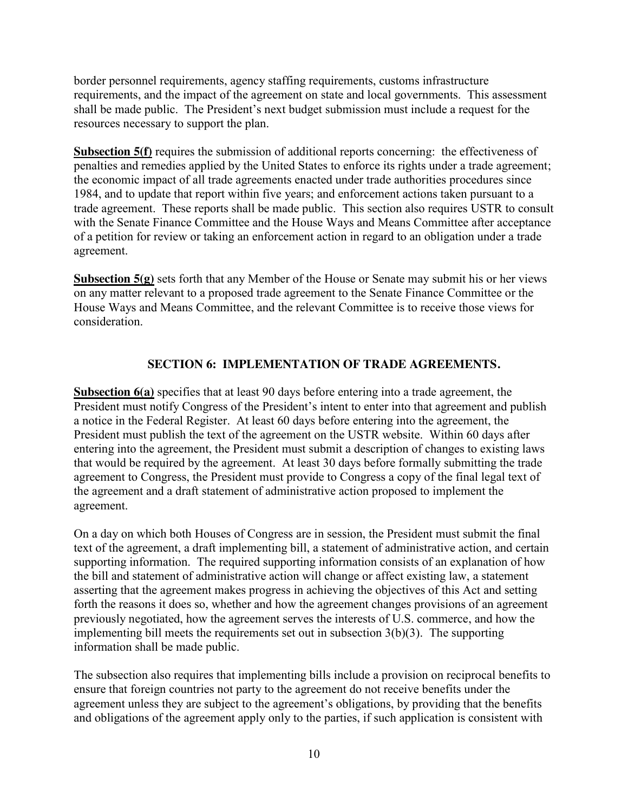border personnel requirements, agency staffing requirements, customs infrastructure requirements, and the impact of the agreement on state and local governments. This assessment shall be made public. The President's next budget submission must include a request for the resources necessary to support the plan.

**Subsection 5(f)** requires the submission of additional reports concerning: the effectiveness of penalties and remedies applied by the United States to enforce its rights under a trade agreement; the economic impact of all trade agreements enacted under trade authorities procedures since 1984, and to update that report within five years; and enforcement actions taken pursuant to a trade agreement. These reports shall be made public. This section also requires USTR to consult with the Senate Finance Committee and the House Ways and Means Committee after acceptance of a petition for review or taking an enforcement action in regard to an obligation under a trade agreement.

**Subsection 5(g)** sets forth that any Member of the House or Senate may submit his or her views on any matter relevant to a proposed trade agreement to the Senate Finance Committee or the House Ways and Means Committee, and the relevant Committee is to receive those views for consideration.

## **SECTION 6: IMPLEMENTATION OF TRADE AGREEMENTS.**

**Subsection 6(a)** specifies that at least 90 days before entering into a trade agreement, the President must notify Congress of the President's intent to enter into that agreement and publish a notice in the Federal Register. At least 60 days before entering into the agreement, the President must publish the text of the agreement on the USTR website. Within 60 days after entering into the agreement, the President must submit a description of changes to existing laws that would be required by the agreement. At least 30 days before formally submitting the trade agreement to Congress, the President must provide to Congress a copy of the final legal text of the agreement and a draft statement of administrative action proposed to implement the agreement.

On a day on which both Houses of Congress are in session, the President must submit the final text of the agreement, a draft implementing bill, a statement of administrative action, and certain supporting information. The required supporting information consists of an explanation of how the bill and statement of administrative action will change or affect existing law, a statement asserting that the agreement makes progress in achieving the objectives of this Act and setting forth the reasons it does so, whether and how the agreement changes provisions of an agreement previously negotiated, how the agreement serves the interests of U.S. commerce, and how the implementing bill meets the requirements set out in subsection 3(b)(3). The supporting information shall be made public.

The subsection also requires that implementing bills include a provision on reciprocal benefits to ensure that foreign countries not party to the agreement do not receive benefits under the agreement unless they are subject to the agreement's obligations, by providing that the benefits and obligations of the agreement apply only to the parties, if such application is consistent with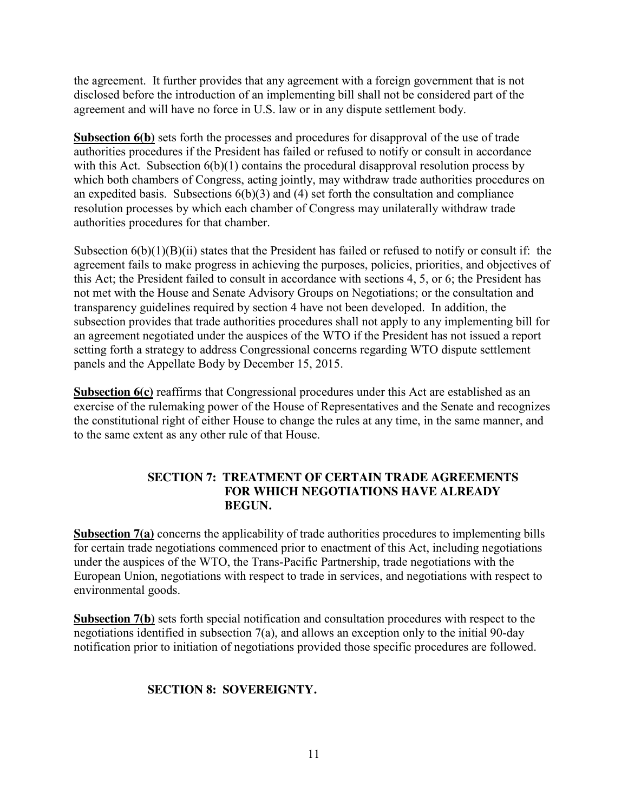the agreement. It further provides that any agreement with a foreign government that is not disclosed before the introduction of an implementing bill shall not be considered part of the agreement and will have no force in U.S. law or in any dispute settlement body.

**Subsection 6(b)** sets forth the processes and procedures for disapproval of the use of trade authorities procedures if the President has failed or refused to notify or consult in accordance with this Act. Subsection  $6(b)(1)$  contains the procedural disapproval resolution process by which both chambers of Congress, acting jointly, may withdraw trade authorities procedures on an expedited basis. Subsections  $6(b)(3)$  and  $(4)$  set forth the consultation and compliance resolution processes by which each chamber of Congress may unilaterally withdraw trade authorities procedures for that chamber.

Subsection  $6(b)(1)(B)(ii)$  states that the President has failed or refused to notify or consult if: the agreement fails to make progress in achieving the purposes, policies, priorities, and objectives of this Act; the President failed to consult in accordance with sections 4, 5, or 6; the President has not met with the House and Senate Advisory Groups on Negotiations; or the consultation and transparency guidelines required by section 4 have not been developed. In addition, the subsection provides that trade authorities procedures shall not apply to any implementing bill for an agreement negotiated under the auspices of the WTO if the President has not issued a report setting forth a strategy to address Congressional concerns regarding WTO dispute settlement panels and the Appellate Body by December 15, 2015.

**Subsection 6(c)** reaffirms that Congressional procedures under this Act are established as an exercise of the rulemaking power of the House of Representatives and the Senate and recognizes the constitutional right of either House to change the rules at any time, in the same manner, and to the same extent as any other rule of that House.

#### **SECTION 7: TREATMENT OF CERTAIN TRADE AGREEMENTS FOR WHICH NEGOTIATIONS HAVE ALREADY BEGUN.**

**Subsection 7(a)** concerns the applicability of trade authorities procedures to implementing bills for certain trade negotiations commenced prior to enactment of this Act, including negotiations under the auspices of the WTO, the Trans-Pacific Partnership, trade negotiations with the European Union, negotiations with respect to trade in services, and negotiations with respect to environmental goods.

**Subsection 7(b)** sets forth special notification and consultation procedures with respect to the negotiations identified in subsection  $7(a)$ , and allows an exception only to the initial 90-day notification prior to initiation of negotiations provided those specific procedures are followed.

## **SECTION 8: SOVEREIGNTY.**